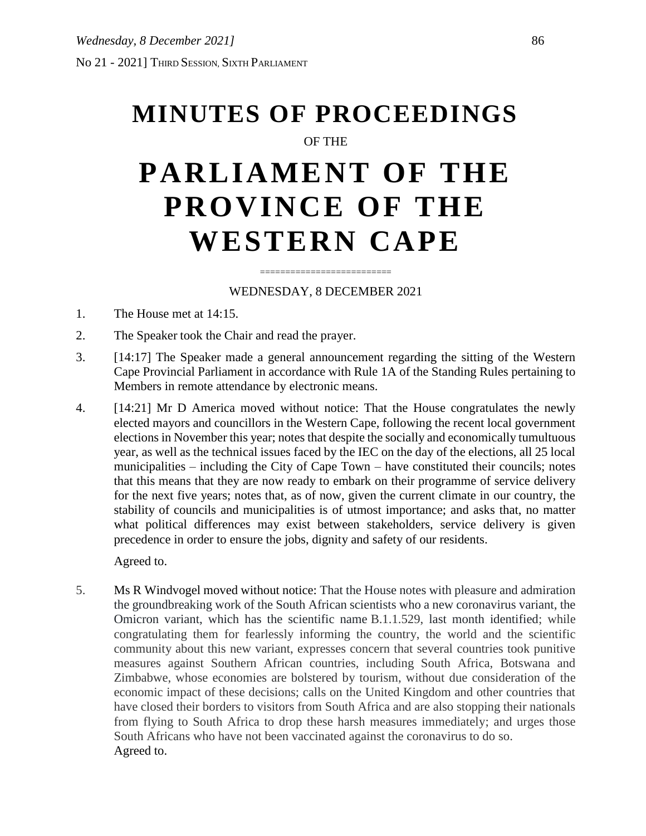# **MINUTES OF PROCEEDINGS** OF THE **PARLIAMENT OF THE PROVINCE OF THE WESTERN CAPE**

# ========================== WEDNESDAY, 8 DECEMBER 2021

- 1. The House met at 14:15.
- 2. The Speaker took the Chair and read the prayer.
- 3. [14:17] The Speaker made a general announcement regarding the sitting of the Western Cape Provincial Parliament in accordance with Rule 1A of the Standing Rules pertaining to Members in remote attendance by electronic means.
- 4. [14:21] Mr D America moved without notice: That the House congratulates the newly elected mayors and councillors in the Western Cape, following the recent local government elections in November this year; notes that despite the socially and economically tumultuous year, as well as the technical issues faced by the IEC on the day of the elections, all 25 local municipalities – including the City of Cape Town – have constituted their councils; notes that this means that they are now ready to embark on their programme of service delivery for the next five years; notes that, as of now, given the current climate in our country, the stability of councils and municipalities is of utmost importance; and asks that, no matter what political differences may exist between stakeholders, service delivery is given precedence in order to ensure the jobs, dignity and safety of our residents.

Agreed to.

5. Ms R Windvogel moved without notice: That the House notes with pleasure and admiration the groundbreaking work of the South African scientists who a new coronavirus variant, the Omicron variant, which has the scientific name B.1.1.529, last month identified; while congratulating them for fearlessly informing the country, the world and the scientific community about this new variant, expresses concern that several countries took punitive measures against Southern African countries, including South Africa, Botswana and Zimbabwe, whose economies are bolstered by tourism, without due consideration of the economic impact of these decisions; calls on the United Kingdom and other countries that have closed their borders to visitors from South Africa and are also stopping their nationals from flying to South Africa to drop these harsh measures immediately; and urges those South Africans who have not been vaccinated against the coronavirus to do so. Agreed to.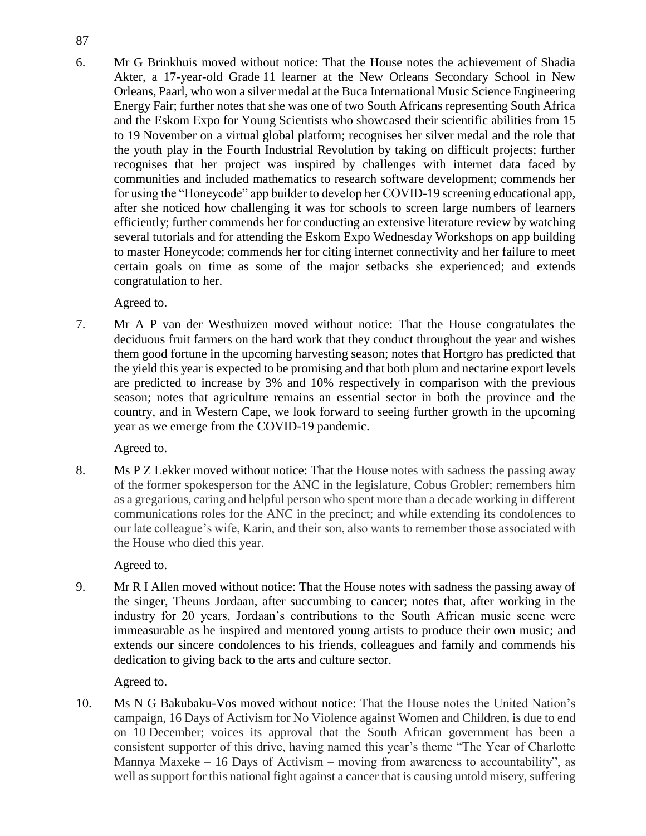6. Mr G Brinkhuis moved without notice: That the House notes the achievement of Shadia Akter, a 17-year-old Grade 11 learner at the New Orleans Secondary School in New Orleans, Paarl, who won a silver medal at the Buca International Music Science Engineering Energy Fair; further notes that she was one of two South Africans representing South Africa and the Eskom Expo for Young Scientists who showcased their scientific abilities from 15 to 19 November on a virtual global platform; recognises her silver medal and the role that the youth play in the Fourth Industrial Revolution by taking on difficult projects; further recognises that her project was inspired by challenges with internet data faced by communities and included mathematics to research software development; commends her for using the "Honeycode" app builder to develop her COVID-19 screening educational app, after she noticed how challenging it was for schools to screen large numbers of learners efficiently; further commends her for conducting an extensive literature review by watching several tutorials and for attending the Eskom Expo Wednesday Workshops on app building to master Honeycode; commends her for citing internet connectivity and her failure to meet certain goals on time as some of the major setbacks she experienced; and extends congratulation to her.

Agreed to.

7. Mr A P van der Westhuizen moved without notice: That the House congratulates the deciduous fruit farmers on the hard work that they conduct throughout the year and wishes them good fortune in the upcoming harvesting season; notes that Hortgro has predicted that the yield this year is expected to be promising and that both plum and nectarine export levels are predicted to increase by 3% and 10% respectively in comparison with the previous season; notes that agriculture remains an essential sector in both the province and the country, and in Western Cape, we look forward to seeing further growth in the upcoming year as we emerge from the COVID-19 pandemic.

Agreed to.

8. Ms P Z Lekker moved without notice: That the House notes with sadness the passing away of the former spokesperson for the ANC in the legislature, Cobus Grobler; remembers him as a gregarious, caring and helpful person who spent more than a decade working in different communications roles for the ANC in the precinct; and while extending its condolences to our late colleague's wife, Karin, and their son, also wants to remember those associated with the House who died this year.

Agreed to.

9. Mr R I Allen moved without notice: That the House notes with sadness the passing away of the singer, Theuns Jordaan, after succumbing to cancer; notes that, after working in the industry for 20 years, Jordaan's contributions to the South African music scene were immeasurable as he inspired and mentored young artists to produce their own music; and extends our sincere condolences to his friends, colleagues and family and commends his dedication to giving back to the arts and culture sector.

Agreed to.

10. Ms N G Bakubaku-Vos moved without notice: That the House notes the United Nation's campaign, 16 Days of Activism for No Violence against Women and Children, is due to end on 10 December; voices its approval that the South African government has been a consistent supporter of this drive, having named this year's theme "The Year of Charlotte Mannya Maxeke – 16 Days of Activism – moving from awareness to accountability", as well as support for this national fight against a cancer that is causing untold misery, suffering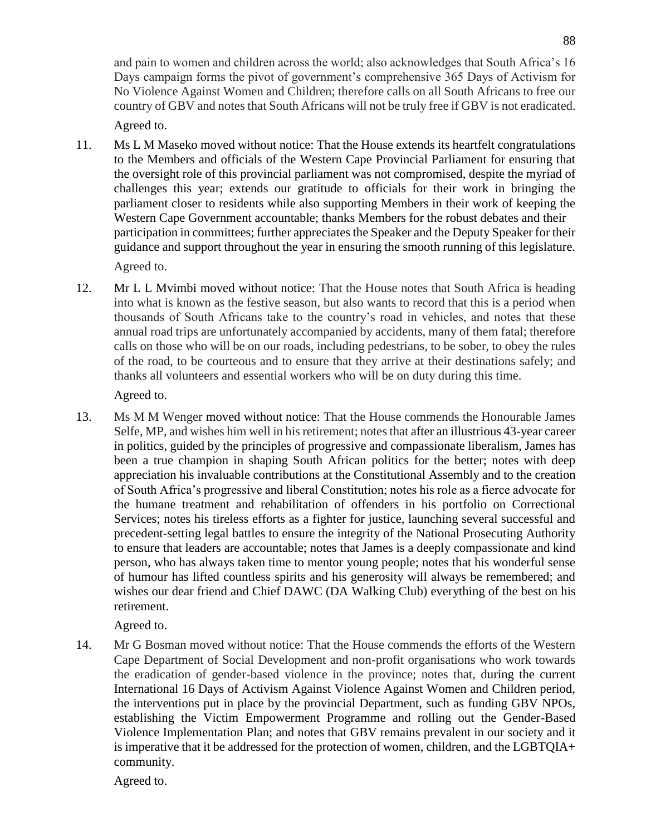and pain to women and children across the world; also acknowledges that South Africa's 16 Days campaign forms the pivot of government's comprehensive 365 Days of Activism for No Violence Against Women and Children; therefore calls on all South Africans to free our country of GBV and notes that South Africans will not be truly free if GBV is not eradicated.

Agreed to.

11. Ms L M Maseko moved without notice: That the House extends its heartfelt congratulations to the Members and officials of the Western Cape Provincial Parliament for ensuring that the oversight role of this provincial parliament was not compromised, despite the myriad of challenges this year; extends our gratitude to officials for their work in bringing the parliament closer to residents while also supporting Members in their work of keeping the Western Cape Government accountable; thanks Members for the robust debates and their participation in committees; further appreciates the Speaker and the Deputy Speaker for their guidance and support throughout the year in ensuring the smooth running of this legislature.

Agreed to.

12. Mr L L Mvimbi moved without notice: That the House notes that South Africa is heading into what is known as the festive season, but also wants to record that this is a period when thousands of South Africans take to the country's road in vehicles, and notes that these annual road trips are unfortunately accompanied by accidents, many of them fatal; therefore calls on those who will be on our roads, including pedestrians, to be sober, to obey the rules of the road, to be courteous and to ensure that they arrive at their destinations safely; and thanks all volunteers and essential workers who will be on duty during this time.

Agreed to.

13. Ms M M Wenger moved without notice: That the House commends the Honourable James Selfe, MP, and wishes him well in his retirement; notes that after an illustrious 43-year career in politics, guided by the principles of progressive and compassionate liberalism, James has been a true champion in shaping South African politics for the better; notes with deep appreciation his invaluable contributions at the Constitutional Assembly and to the creation of South Africa's progressive and liberal Constitution; notes his role as a fierce advocate for the humane treatment and rehabilitation of offenders in his portfolio on Correctional Services; notes his tireless efforts as a fighter for justice, launching several successful and precedent-setting legal battles to ensure the integrity of the National Prosecuting Authority to ensure that leaders are accountable; notes that James is a deeply compassionate and kind person, who has always taken time to mentor young people; notes that his wonderful sense of humour has lifted countless spirits and his generosity will always be remembered; and wishes our dear friend and Chief DAWC (DA Walking Club) everything of the best on his retirement.

Agreed to.

14. Mr G Bosman moved without notice: That the House commends the efforts of the Western Cape Department of Social Development and non-profit organisations who work towards the eradication of gender-based violence in the province; notes that, during the current International 16 Days of Activism Against Violence Against Women and Children period, the interventions put in place by the provincial Department, such as funding GBV NPOs, establishing the Victim Empowerment Programme and rolling out the Gender-Based Violence Implementation Plan; and notes that GBV remains prevalent in our society and it is imperative that it be addressed for the protection of women, children, and the LGBTQIA+ community.

Agreed to.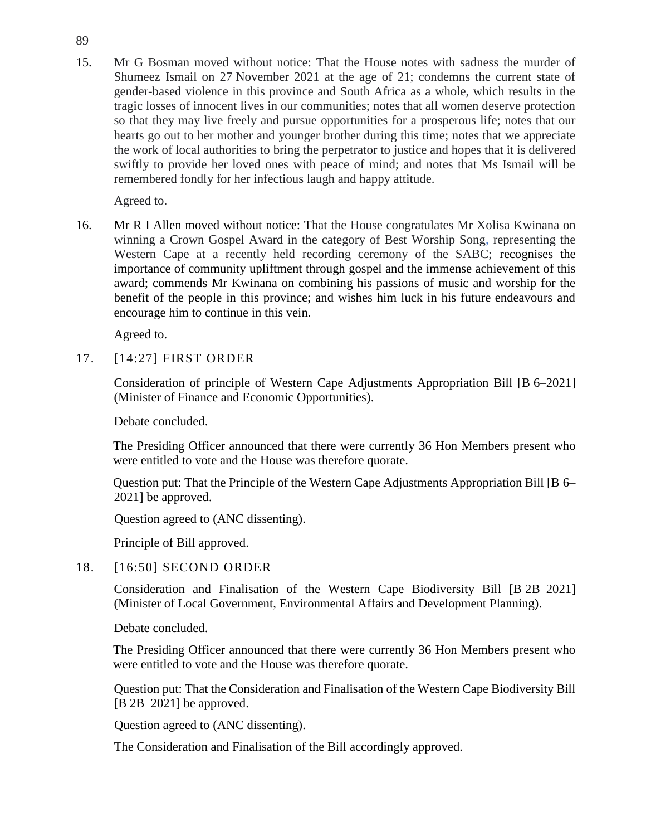15. Mr G Bosman moved without notice: That the House notes with sadness the murder of Shumeez Ismail on 27 November 2021 at the age of 21; condemns the current state of gender-based violence in this province and South Africa as a whole, which results in the tragic losses of innocent lives in our communities; notes that all women deserve protection so that they may live freely and pursue opportunities for a prosperous life; notes that our hearts go out to her mother and younger brother during this time; notes that we appreciate the work of local authorities to bring the perpetrator to justice and hopes that it is delivered swiftly to provide her loved ones with peace of mind; and notes that Ms Ismail will be remembered fondly for her infectious laugh and happy attitude.

Agreed to.

16. Mr R I Allen moved without notice: That the House congratulates Mr Xolisa Kwinana on winning a Crown Gospel Award in the category of Best Worship Song, representing the Western Cape at a recently held recording ceremony of the SABC; recognises the importance of community upliftment through gospel and the immense achievement of this award; commends Mr Kwinana on combining his passions of music and worship for the benefit of the people in this province; and wishes him luck in his future endeavours and encourage him to continue in this vein.

Agreed to.

## 17. [14:27] FIRST ORDER

Consideration of principle of Western Cape Adjustments Appropriation Bill [B 6–2021] (Minister of Finance and Economic Opportunities).

Debate concluded.

The Presiding Officer announced that there were currently 36 Hon Members present who were entitled to vote and the House was therefore quorate.

Question put: That the Principle of the Western Cape Adjustments Appropriation Bill [B 6– 2021] be approved.

Question agreed to (ANC dissenting).

Principle of Bill approved.

#### 18. [16:50] SECOND ORDER

Consideration and Finalisation of the Western Cape Biodiversity Bill [B 2B–2021] (Minister of Local Government, Environmental Affairs and Development Planning).

Debate concluded.

The Presiding Officer announced that there were currently 36 Hon Members present who were entitled to vote and the House was therefore quorate.

Question put: That the Consideration and Finalisation of the Western Cape Biodiversity Bill [B 2B-2021] be approved.

Question agreed to (ANC dissenting).

The Consideration and Finalisation of the Bill accordingly approved.

89